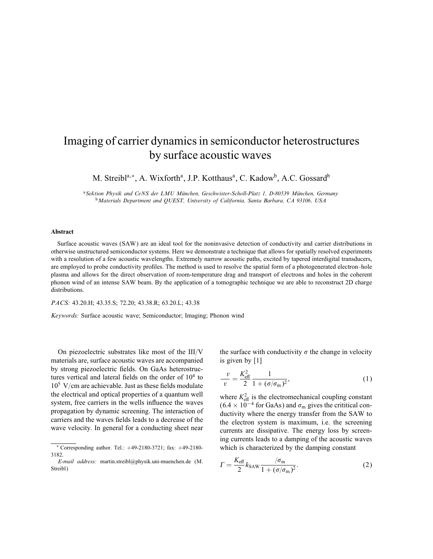## Imaging of carrier dynamics in semiconductor heterostructures by surface acoustic waves

M. Streibl<sup>a,\*</sup>, A. Wixforth<sup>a</sup>, J.P. Kotthaus<sup>a</sup>, C. Kadow<sup>b</sup>, A.C. Gossard<sup>b</sup>

<sup>a</sup> Sektion Physik and CeNS der LMU München, Geschwister-Scholl-Platz 1, D-80539 München, Germany <sup>b</sup>Materials Department and QUEST, University of California, Santa Barbara, CA 93106, USA

## Abstract

Surface acoustic waves (SAW) are an ideal tool for the noninvasive detection of conductivity and carrier distributions in otherwise unstructured semiconductor systems. Here we demonstrate a technique that allows for spatially resolved experiments with a resolution of a few acoustic wavelengths. Extremely narrow acoustic paths, excited by tapered interdigital transducers, are employed to probe conductivity proles. The method is used to resolve the spatial form of a photogenerated electron–hole plasma and allows for the direct observation of room-temperature drag and transport of electrons and holes in the coherent phonon wind of an intense SAW beam. By the application of a tomographic technique we are able to reconstruct 2D charge distributions.

PACS: 43.20.H; 43.35.S; 72.20; 43.38.R; 63.20.L; 43.38

Keywords: Surface acoustic wave; Semiconductor; Imaging; Phonon wind

On piezoelectric substrates like most of the  $III/V$ materials are, surface acoustic waves are accompanied by strong piezoelectric fields. On GaAs heterostructures vertical and lateral fields on the order of  $10<sup>4</sup>$  to  $10^5$  V/cm are achievable. Just as these fields modulate the electrical and optical properties of a quantum well system, free carriers in the wells influence the waves propagation by dynamic screening. The interaction of carriers and the waves fields leads to a decrease of the wave velocity. In general for a conducting sheet near

the surface with conductivity  $\sigma$  the change in velocity is given by [1]

$$
\frac{v}{v} = \frac{K_{\text{eff}}^2}{2} \frac{1}{1 + (\sigma/\sigma_{\text{m}})^2},\tag{1}
$$

where  $K_{\text{eff}}^2$  is the electromechanical coupling constant  $(6.4 \times 10^{-4}$  for GaAs) and  $\sigma_{\rm m}$  gives the crititical conductivity where the energy transfer from the SAW to the electron system is maximum, i.e. the screening currents are dissipative. The energy loss by screening currents leads to a damping of the acoustic waves which is characterized by the damping constant

$$
\Gamma = \frac{K_{\text{eff}}}{2} k_{\text{SAW}} \frac{/\sigma_{\text{m}}}{1 + (\sigma/\sigma_{\text{m}})^2}.
$$
\n(2)

<sup>∗</sup> Corresponding author. Tel.: +49-2180-3721; fax: +49-2180- 3182.

E-mail address: martin.streibl@physik.uni-muenchen.de (M. Streibl)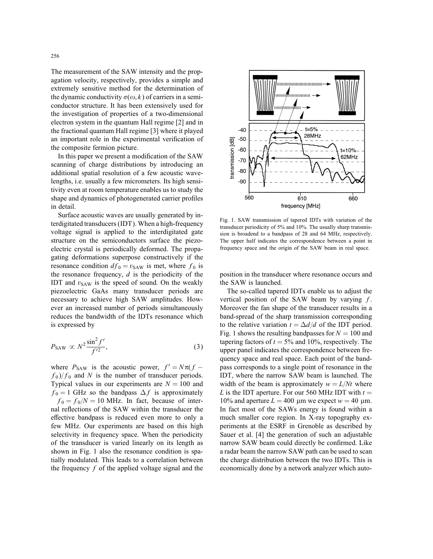The measurement of the SAW intensity and the propagation velocity, respectively, provides a simple and extremely sensitive method for the determination of the dynamic conductivity  $\sigma(\omega, k)$  of carriers in a semiconductor structure. It has been extensively used for the investigation of properties of a two-dimensional electron system in the quantum Hall regime [2] and in the fractional quantum Hall regime [3] where it played an important role in the experimental verification of the composite fermion picture.

In this paper we present a modification of the SAW scanning of charge distributions by introducing an additional spatial resolution of a few acoustic wavelengths, i.e. usually a few micrometers. Its high sensitivity even at room temperature enables us to study the shape and dynamics of photogenerated carrier profiles in detail.

Surface acoustic waves are usually generated by interdigitated transducers(IDT). When a high-frequency voltage signal is applied to the interdigitated gate structure on the semiconductors surface the piezoelectric crystal is periodically deformed. The propagating deformations superpose constructively if the resonance condition  $df_0 = v_{SAW}$  is met, where  $f_0$  is the resonance frequency,  $d$  is the periodicity of the IDT and  $v_{SAW}$  is the speed of sound. On the weakly piezoelectric GaAs many transducer periods are necessary to achieve high SAW amplitudes. However an increased number of periods simultaneously reduces the bandwidth of the IDTs resonance which is expressed by

$$
P_{\text{SAW}} \propto N^2 \frac{\sin^2 f'}{f'^2},\tag{3}
$$

where  $P_{SAW}$  is the acoustic power,  $f' = N\pi(f$  $f_0$ )/ $f_0$  and N is the number of transducer periods. Typical values in our experiments are  $N = 100$  and  $f_0 = 1$  GHz so the bandpass  $\Delta f$  is approximately  $f_0 = f_0/N = 10$  MHz. In fact, because of internal reflections of the SAW within the transducer the effective bandpass is reduced even more to only a few MHz. Our experiments are based on this high selectivity in frequency space. When the periodicity of the transducer is varied linearly on its length as shown in Fig. 1 also the resonance condition is spatially modulated. This leads to a correlation between the frequency  $f$  of the applied voltage signal and the



Fig. 1. SAW transmission of tapered IDTs with variation of the transducer periodicity of 5% and 10%. The usually sharp transmission is broadend to a bandpass of 28 and 64 MHz, respectively. The upper half indicates the correspondence between a point in frequency space and the origin of the SAW beam in real space.

position in the transducer where resonance occurs and the SAW is launched.

The so-called tapered IDTs enable us to adjust the vertical position of the SAW beam by varying  $f$ . Moreover the fan shape of the transducer results in a band-spread of the sharp transmission corresponding to the relative variation  $t = \Delta d/d$  of the IDT period. Fig. 1 shows the resulting bandpasses for  $N = 100$  and tapering factors of  $t = 5\%$  and 10%, respectively. The upper panel indicates the correspondence between frequency space and real space. Each point of the bandpass corresponds to a single point of resonance in the IDT, where the narrow SAW beam is launched. The width of the beam is approximately  $w = L/Nt$  where L is the IDT aperture. For our 560 MHz IDT with  $t =$ 10% and aperture  $L = 400 \mu m$  we expect  $w = 40 \mu m$ . In fact most of the SAWs energy is found within a much smaller core region. In X-ray topography experiments at the ESRF in Grenoble as described by Sauer et al. [4] the generation of such an adjustable narrow SAW beam could directly be confirmed. Like a radar beam the narrow SAW path can be used to scan the charge distribution between the two IDTs. This is economically done by a network analyzer which auto-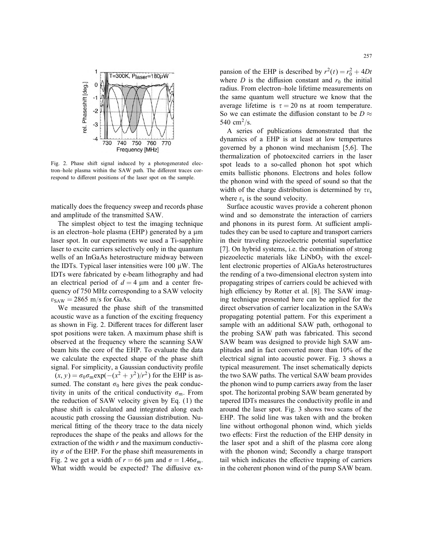

Fig. 2. Phase shift signal induced by a photogenerated electron–hole plasma within the SAW path. The different traces correspond to different positions of the laser spot on the sample.

matically does the frequency sweep and records phase and amplitude of the transmitted SAW.

The simplest object to test the imaging technique is an electron–hole plasma (EHP) generated by a  $\mu$ m laser spot. In our experiments we used a Ti-sapphire laser to excite carriers selectively only in the quantum wells of an InGaAs heterostructure midway between the IDTs. Typical laser intensities were  $100 \mu W$ . The IDTs were fabricated by e-beam lithography and had an electrical period of  $d = 4 \mu m$  and a center frequency of 750 MHz corresponding to a SAW velocity  $v_{\text{SAW}} = 2865 \text{ m/s}$  for GaAs.

We measured the phase shift of the transmitted acoustic wave as a function of the exciting frequency as shown in Fig. 2. Different traces for different laser spot positions were taken. A maximum phase shift is observed at the frequency where the scanning SAW beam hits the core of the EHP. To evaluate the data we calculate the expected shape of the phase shift signal. For simplicity, a Gaussian conductivity profile  $(x, y) = \sigma_0 \sigma_m \exp(-(x^2 + y^2)/r^2)$  for the EHP is assumed. The constant  $\sigma_0$  here gives the peak conductivity in units of the critical conductivity  $\sigma_{\rm m}$ . From the reduction of SAW velocity given by Eq. (1) the phase shift is calculated and integrated along each acoustic path crossing the Gaussian distribution. Numerical fitting of the theory trace to the data nicely reproduces the shape of the peaks and allows for the extraction of the width  $r$  and the maximum conductivity  $\sigma$  of the EHP. For the phase shift measurements in Fig. 2 we get a width of  $r = 66 \mu m$  and  $\sigma = 1.46 \sigma_m$ . What width would be expected? The diffusive ex-

pansion of the EHP is described by  $r^2(t) = r_0^2 + 4Dt$ where  $D$  is the diffusion constant and  $r_0$  the initial radius. From electron–hole lifetime measurements on the same quantum well structure we know that the average lifetime is  $\tau = 20$  ns at room temperature. So we can estimate the diffusion constant to be  $D \approx$ 540 cm<sup>2</sup>/s.

A series of publications demonstrated that the dynamics of a EHP is at least at low tempertures governed by a phonon wind mechanism [5,6]. The thermalization of photoexcited carriers in the laser spot leads to a so-called phonon hot spot which emits ballistic phonons. Electrons and holes follow the phonon wind with the speed of sound so that the width of the charge distribution is determined by  $\tau v_s$ where  $v_s$  is the sound velocity.

Surface acoustic waves provide a coherent phonon wind and so demonstrate the interaction of carriers and phonons in its purest form. At sufficient amplitudes they can be used to capture and transport carriers in their traveling piezoelectric potential superlattice [7]. On hybrid systems, i.e. the combination of strong piezoelectic materials like  $LiNbO<sub>3</sub>$  with the excellent electronic properties of AlGaAs heterostructures the rending of a two-dimensional electron system into propagating stripes of carriers could be achieved with high efficiency by Rotter et al. [8]. The SAW imaging technique presented here can be applied for the direct observation of carrier localization in the SAWs propagating potential pattern. For this experiment a sample with an additional SAW path, orthogonal to the probing SAW path was fabricated. This second SAW beam was designed to provide high SAW amplitudes and in fact converted more than 10% of the electrical signal into acoustic power. Fig. 3 shows a typical measurement. The inset schematically depicts the two SAW paths. The vertical SAW beam provides the phonon wind to pump carriers away from the laser spot. The horizontal probing SAW beam generated by tapered IDTs measures the conductivity prole in and around the laser spot. Fig. 3 shows two scans of the EHP. The solid line was taken with and the broken line without orthogonal phonon wind, which yields two effects: First the reduction of the EHP density in the laser spot and a shift of the plasma core along with the phonon wind; Secondly a charge transport tail which indicates the effective trapping of carriers in the coherent phonon wind of the pump SAW beam.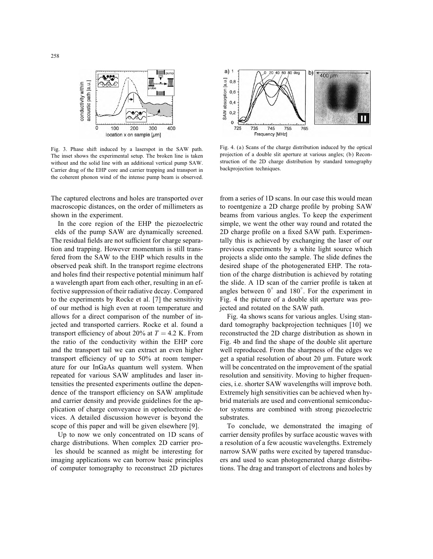

Fig. 3. Phase shift induced by a laserspot in the SAW path. The inset shows the experimental setup. The broken line is taken without and the solid line with an additional vertical pump SAW. Carrier drag of the EHP core and carrier trapping and transport in the coherent phonon wind of the intense pump beam is observed.

The captured electrons and holes are transported over macroscopic distances, on the order of millimeters as shown in the experiment.

In the core region of the EHP the piezoelectric elds of the pump SAW are dynamically screened. The residual fields are not sufficient for charge separation and trapping. However momentum is still transfered from the SAW to the EHP which results in the observed peak shift. In the transport regime electrons and holes find their respective potential minimum half a wavelength apart from each other, resulting in an effective suppression of their radiative decay. Compared to the experiments by Rocke et al. [7] the sensitivity of our method is high even at room temperature and allows for a direct comparison of the number of injected and transported carriers. Rocke et al. found a transport efficiency of about 20% at  $T = 4.2$  K. From the ratio of the conductivity within the EHP core and the transport tail we can extract an even higher transport efficiency of up to  $50\%$  at room temperature for our InGaAs quantum well system. When repeated for various SAW amplitudes and laser intensities the presented experiments outline the dependence of the transport efficiency on SAW amplitude and carrier density and provide guidelines for the application of charge conveyance in optoelectronic devices. A detailed discussion however is beyond the scope of this paper and will be given elsewhere [9].

Up to now we only concentrated on 1D scans of charge distributions. When complex 2D carrier proles should be scanned as might be interesting for imaging applications we can borrow basic principles of computer tomography to reconstruct 2D pictures



Fig. 4. (a) Scans of the charge distribution induced by the optical projection of a double slit aperture at various angles; (b) Reconstruction of the 2D charge distribution by standard tomography backprojection techniques.

from a series of 1D scans. In our case this would mean to roentgenize a 2D charge profile by probing SAW beams from various angles. To keep the experiment simple, we went the other way round and rotated the 2D charge profile on a fixed SAW path. Experimentally this is achieved by exchanging the laser of our previous experiments by a white light source which projects a slide onto the sample. The slide defines the desired shape of the photogenerated EHP. The rotation of the charge distribution is achieved by rotating the slide. A 1D scan of the carrier profile is taken at angles between  $0^{\circ}$  and  $180^{\circ}$ . For the experiment in Fig. 4 the picture of a double slit aperture was projected and rotated on the SAW path.

Fig. 4a shows scans for various angles. Using standard tomography backprojection techniques [10] we reconstructed the 2D charge distribution as shown in Fig. 4b and find the shape of the double slit aperture well reproduced. From the sharpness of the edges we get a spatial resolution of about 20  $\mu$ m. Future work will be concentrated on the improvement of the spatial resolution and sensitivity. Moving to higher frequencies, i.e. shorter SAW wavelengths will improve both. Extremely high sensitivities can be achieved when hybrid materials are used and conventional semiconductor systems are combined with strong piezoelectric substrates.

To conclude, we demonstrated the imaging of carrier density profiles by surface acoustic waves with a resolution of a few acoustic wavelengths. Extremely narrow SAW paths were excited by tapered transducers and used to scan photogenerated charge distributions. The drag and transport of electrons and holes by